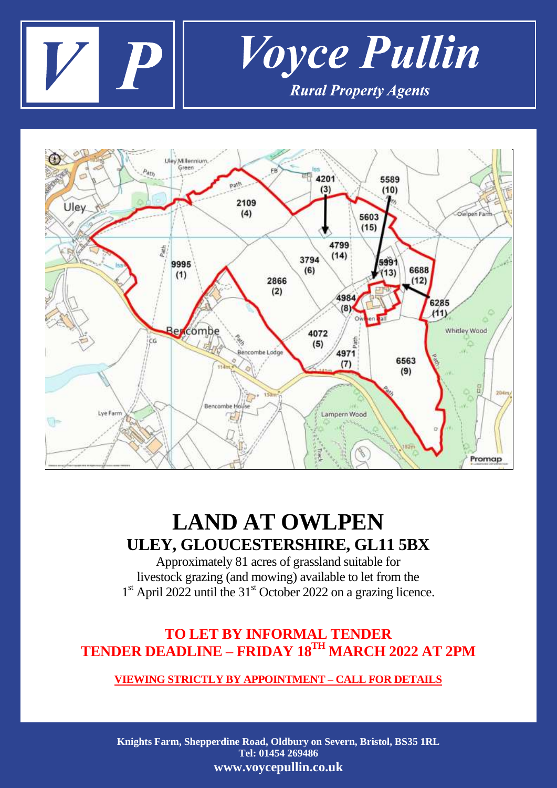



# **LAND AT OWLPEN ULEY, GLOUCESTERSHIRE, GL11 5BX**

Approximately 81 acres of grassland suitable for livestock grazing (and mowing) available to let from the 1<sup>st</sup> April 2022 until the 31<sup>st</sup> October 2022 on a grazing licence.

## **TO LET BY INFORMAL TENDER TENDER DEADLINE – FRIDAY 18TH MARCH 2022 AT 2PM**

### **VIEWING STRICTLY BY APPOINTMENT – CALL FOR DETAILS**

**Knights Farm, Shepperdine Road, Oldbury on Severn, Bristol, BS35 1RL Tel: 01454 269486 www.voycepullin.co.uk**